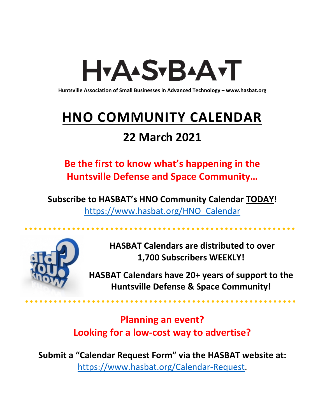# H<sub>Y</sub>AASTBAATT

**Huntsville Association of Small Businesses in Advanced Technology – [www.hasbat.org](http://www.hasbat.org/)**

# **HNO COMMUNITY CALENDAR**

### **22 March 2021**

**Be the first to know what's happening in the Huntsville Defense and Space Community…** 

**Subscribe to HASBAT's HNO Community Calendar TODAY!**  [https://www.hasbat.org/HNO\\_Calendar](https://www.hasbat.org/HNO_Calendar)



**HASBAT Calendars are distributed to over 1,700 Subscribers WEEKLY!**

**HASBAT Calendars have 20+ years of support to the Huntsville Defense & Space Community!** 

**Planning an event? Looking for a low-cost way to advertise?**

**Submit a "Calendar Request Form" via the HASBAT website at:**  [https://www.hasbat.org/Calendar-Request.](https://www.hasbat.org/Calendar-Request)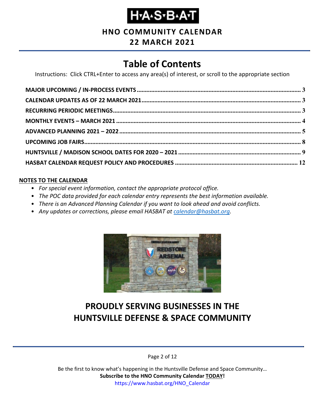**HNO COMMUNITY CALENDAR**

### **22 MARCH 2021**

### **Table of Contents**

Instructions: Click CTRL+Enter to access any area(s) of interest, or scroll to the appropriate section

#### **NOTES TO THE CALENDAR**

- *For special event information, contact the appropriate protocol office.*
- *The POC data provided for each calendar entry represents the best information available.*
- *There is an Advanced Planning Calendar if you want to look ahead and avoid conflicts.*
- *Any updates or corrections, please email HASBAT at [calendar@hasbat.org.](mailto:calendar@hasbat.org)*



### **PROUDLY SERVING BUSINESSES IN THE HUNTSVILLE DEFENSE & SPACE COMMUNITY**

Page 2 of 12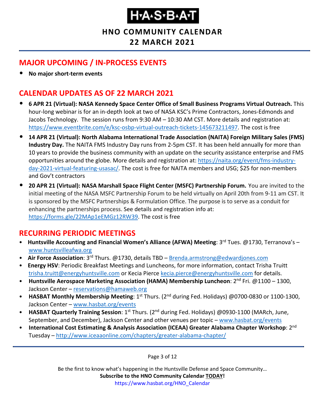### **HNO COMMUNITY CALENDAR**

### **22 MARCH 2021**

### <span id="page-2-0"></span>**MAJOR UPCOMING / IN-PROCESS EVENTS**

• **No major short-term events**

### <span id="page-2-1"></span>**CALENDAR UPDATES AS OF 22 MARCH 2021**

- **6 APR 21 (Virtual): NASA Kennedy Space Center Office of Small Business Programs Virtual Outreach.** This hour-long webinar is for an in-depth look at two of NASA KSC's Prime Contractors, Jones-Edmonds and Jacobs Technology. The session runs from 9:30 AM – 10:30 AM CST. More details and registration at: [https://www.eventbrite.com/e/ksc-osbp-virtual-outreach-tickets-145673211497.](https://www.eventbrite.com/e/ksc-osbp-virtual-outreach-tickets-145673211497) The cost is free
- **14 APR 21 (Virtual): North Alabama International Trade Association (NAITA) Foreign Military Sales (FMS) Industry Day.** The NAITA FMS Industry Day runs from 2-5pm CST. It has been held annually for more than 10 years to provide the business community with an update on the security assistance enterprise and FMS opportunities around the globe. More details and registration at: [https://naita.org/event/fms-industry](https://naita.org/event/fms-industry-day-2021-virtual-featuring-usasac/)[day-2021-virtual-featuring-usasac/.](https://naita.org/event/fms-industry-day-2021-virtual-featuring-usasac/) The cost is free for NAITA members and USG; \$25 for non-members and Gov't contractors
- **20 APR 21 (Virtual): NASA Marshall Space Flight Center (MSFC) Partnership Forum.** You are invited to the initial meeting of the NASA MSFC Partnership Forum to be held virtually on April 20th from 9-11 am CST. It is sponsored by the MSFC Partnerships & Formulation Office. The purpose is to serve as a conduit for enhancing the partnerships process. See details and registration info at: [https://forms.gle/22MAp1eEMGz12RW39.](https://forms.gle/22MAp1eEMGz12RW39) The cost is free

### <span id="page-2-2"></span>**RECURRING PERIODIC MEETINGS**

- Huntsville Accounting and Financial Women's Alliance (AFWA) Meeting: 3<sup>rd</sup> Tues. @1730, Terranova's [www.huntsvilleafwa.org](http://www.huntsvilleafwa.org/)
- **Air Force Association**: 3rd Thurs. @1730, details TBD [Brenda.armstrong@edwardjones.com](mailto:Brenda.armstrong@edwardjones.com)
- **Energy HSV**: Periodic Breakfast Meetings and Luncheons, for more information, contact Trisha Truitt [trisha.truitt@energyhuntsville.com](mailto:trisha.truitt@energyhuntsville.com) or Kecia Pierce [kecia.pierce@energyhuntsville.com](mailto:kecia.pierce@energyhuntsville.com) for details.
- Huntsville Aerospace Marketing Association (HAMA) Membership Luncheon: 2<sup>nd</sup> Fri. @1100 1300, Jackson Center – [reservations@hamaweb.org](mailto:reservations@hamaweb.org)
- **HASBAT Monthly Membership Meeting**: 1st Thurs. (2nd during Fed. Holidays) @0700-0830 or 1100-1300, Jackson Center – [www.hasbat.org/events](http://www.hasbat.org/events)
- **HASBAT Quarterly Training Session**: 1st Thurs. (2nd during Fed. Holidays) @0930-1100 (MARch, June, September, and December), Jackson Center and other venues per topic – [www.hasbat.org/events](http://www.hasbat.org/events)
- **International Cost Estimating & Analysis Association (ICEAA) Greater Alabama Chapter Workshop**: 2nd Tuesday – <http://www.iceaaonline.com/chapters/greater-alabama-chapter/>

Page 3 of 12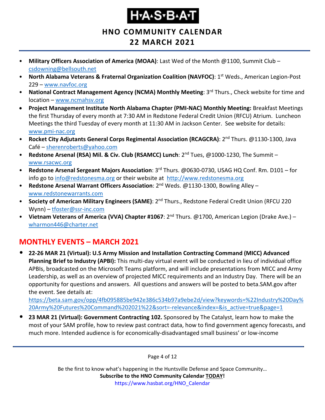**HNO COMMUNITY CALENDAR**

### **22 MARCH 2021**

- **Military Officers Association of America (MOAA)**: Last Wed of the Month @1100, Summit Club [csdowning@bellsouth.net](mailto:csdowning@bellsouth.net)
- **North Alabama Veterans & Fraternal Organization Coalition (NAVFOC): 1<sup>st</sup> Weds., American Legion-Post** 229 – [www.navfoc.org](http://www.navfoc.org/)
- **National Contract Management Agency (NCMA) Monthly Meeting**: 3rd Thurs., Check website for time and location – [www.ncmahsv.org](http://www.ncmahsv.org/)
- **Project Management Institute North Alabama Chapter (PMI-NAC) Monthly Meeting:** Breakfast Meetings the first Thursday of every month at 7:30 AM in Redstone Federal Credit Union (RFCU) Atrium. Luncheon Meetings the third Tuesday of every month at 11:30 AM in Jackson Center. See website for details: [www.pmi-nac.org](http://www.pmi-nac.org/)
- **Rocket City Adjutants General Corps Regimental Association (RCAGCRA)**: 2nd Thurs. @1130-1300, Java Café – [sherenroberts@yahoo.com](mailto:sherenroberts@yahoo.com)
- **Redstone Arsenal (RSA) Mil. & Civ. Club (RSAMCC) Lunch**: 2nd Tues, @1000-1230, The Summit [www.rsacwc.org](http://www.rsacwc.org/)
- **Redstone Arsenal Sergeant Majors Association**: 3rd Thurs. @0630-0730, USAG HQ Conf. Rm. D101 for info go to [info@redstonesma.org](mailto:info@redstonesma.org) or their website at [http://www.redstonesma.org](http://www.redstonesma.org/)
- **Redstone Arsenal Warrant Officers Association**: 2nd Weds. @1130-1300, Bowling Alley [www.redstonewarrants.com](http://www.redstonewarrants.com/)
- **Society of American Military Engineers (SAME)**: 2nd Thurs., Redstone Federal Credit Union (RFCU 220 Wynn) – [tfoster@ssr-inc.com](mailto:tfoster@ssr-inc.com)
- **Vietnam Veterans of America (VVA) Chapter #1067**: 2nd Thurs. @1700, American Legion (Drake Ave.) [wharmon446@charter.net](mailto:wharmon446@charter.net)

### <span id="page-3-0"></span>**MONTHLY EVENTS – MARCH 2021**

• **22-26 MAR 21 (Virtual): U.S Army Mission and Installation Contracting Command (MICC) Advanced Planning Brief to Industry (APBI):** This multi-day virtual event will be conducted in lieu of individual office APBIs, broadcasted on the Microsoft Teams platform, and will include presentations from MICC and Army Leadership, as well as an overview of projected MICC requirements and an Industry Day. There will be an opportunity for questions and answers. All questions and answers will be posted to beta.SAM.gov after the event. See details at:

[https://beta.sam.gov/opp/4fb095885be942e386c534b97a9ebe2d/view?keywords=%22Industry%20Day%](https://beta.sam.gov/opp/4fb095885be942e386c534b97a9ebe2d/view?keywords=%22Industry%20Day%20Army%20Futures%20Command%202021%22&sort=-relevance&index=&is_active=true&page=1) [20Army%20Futures%20Command%202021%22&sort=-relevance&index=&is\\_active=true&page=1](https://beta.sam.gov/opp/4fb095885be942e386c534b97a9ebe2d/view?keywords=%22Industry%20Day%20Army%20Futures%20Command%202021%22&sort=-relevance&index=&is_active=true&page=1)

• **23 MAR 21 (Virtual): Government Contracting 102.** Sponsored by The Catalyst, learn how to make the most of your SAM profile, how to review past contract data, how to find government agency forecasts, and much more. Intended audience is for economically-disadvantaged small business' or low-income

Page 4 of 12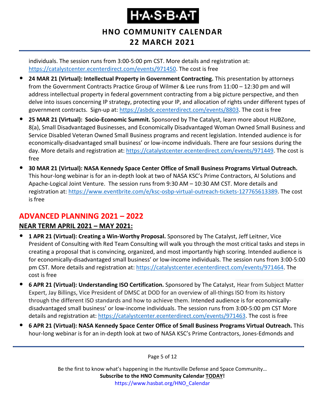### **HNO COMMUNITY CALENDAR 22 MARCH 2021**

individuals. The session runs from 3:00-5:00 pm CST. More details and registration at: [https://catalystcenter.ecenterdirect.com/events/971450.](https://catalystcenter.ecenterdirect.com/events/971450) The cost is free

- **24 MAR 21 (Virtual): Intellectual Property in Government Contracting.** This presentation by attorneys from the Government Contracts Practice Group of Wilmer & Lee runs from 11:00 – 12:30 pm and will address intellectual property in federal government contracting from a big picture perspective, and then delve into issues concerning IP strategy, protecting your IP, and allocation of rights under different types of government contracts. Sign-up at: [https://asbdc.ecenterdirect.com/events/8803.](https://asbdc.ecenterdirect.com/events/8803) The cost is free
- **25 MAR 21 (Virtual): Socio-Economic Summit.** Sponsored by The Catalyst, learn more about HUBZone, 8(a), Small Disadvantaged Businesses, and Economically Disadvantaged Woman Owned Small Business and Service Disabled Veteran Owned Small Business programs and recent legislation. Intended audience is for economically-disadvantaged small business' or low-income individuals. There are four sessions during the day. More details and registration at: [https://catalystcenter.ecenterdirect.com/events/971449.](https://catalystcenter.ecenterdirect.com/events/971449) The cost is free
- **30 MAR 21 (Virtual): NASA Kennedy Space Center Office of Small Business Programs Virtual Outreach.**  This hour-long webinar is for an in-depth look at two of NASA KSC's Prime Contractors, AI Solutions and Apache-Logical Joint Venture. The session runs from 9:30 AM – 10:30 AM CST. More details and registration at: [https://www.eventbrite.com/e/ksc-osbp-virtual-outreach-tickets-127765613389.](https://www.eventbrite.com/e/ksc-osbp-virtual-outreach-tickets-127765613389) The cost is free

### <span id="page-4-0"></span>**ADVANCED PLANNING 2021 – 2022**

#### **NEAR TERM APRIL 2021 – MAY 2021:**

- **1 APR 21 (Virtual): Creating a Win-Worthy Proposal.** Sponsored by The Catalyst, Jeff Leitner, Vice President of Consulting with Red Team Consulting will walk you through the most critical tasks and steps in creating a proposal that is convincing, organized, and most importantly high scoring. Intended audience is for economically-disadvantaged small business' or low-income individuals. The session runs from 3:00-5:00 pm CST. More details and registration at: [https://catalystcenter.ecenterdirect.com/events/971464.](https://catalystcenter.ecenterdirect.com/events/971464) The cost is free
- **6 APR 21 (Virtual): Understanding ISO Certification.** Sponsored by The Catalyst, Hear from Subject Matter Expert, Jay Billings, Vice President of DMSC at DOD for an overview of all-things ISO from its history through the different ISO standards and how to achieve them. Intended audience is for economicallydisadvantaged small business' or low-income individuals. The session runs from 3:00-5:00 pm CST More details and registration at: [https://catalystcenter.ecenterdirect.com/events/971463.](https://catalystcenter.ecenterdirect.com/events/971463) The cost is free
- **6 APR 21 (Virtual): NASA Kennedy Space Center Office of Small Business Programs Virtual Outreach.** This hour-long webinar is for an in-depth look at two of NASA KSC's Prime Contractors, Jones-Edmonds and

Page 5 of 12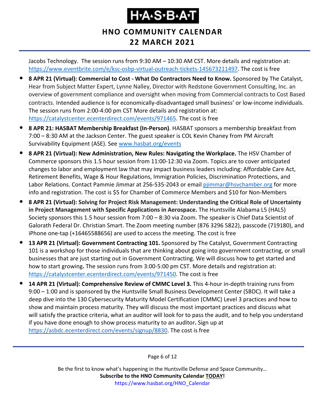### **HNO COMMUNITY CALENDAR 22 MARCH 2021**

Jacobs Technology. The session runs from 9:30 AM – 10:30 AM CST. More details and registration at: [https://www.eventbrite.com/e/ksc-osbp-virtual-outreach-tickets-145673211497.](https://www.eventbrite.com/e/ksc-osbp-virtual-outreach-tickets-145673211497) The cost is free

- **8 APR 21 (Virtual): Commercial to Cost - What Do Contractors Need to Know.** Sponsored by The Catalyst, Hear from Subject Matter Expert, Lynne Nalley, Director with Redstone Government Consulting, Inc. an overview of government compliance and oversight when moving from Commercial contracts to Cost Based contracts. Intended audience is for economically-disadvantaged small business' or low-income individuals. The session runs from 2:00-4:00 pm CST More details and registration at: [https://catalystcenter.ecenterdirect.com/events/971465.](https://catalystcenter.ecenterdirect.com/events/971465) The cost is free
- **8 APR 21: HASBAT Membership Breakfast (In-Person)**. HASBAT sponsors a membership breakfast from 7:00 – 8:30 AM at the Jackson Center. The guest speaker is COL Kevin Chaney from PM Aircraft Survivability Equipment (ASE). See [www.hasbat.org/events](http://www.hasbat.org/events)
- **8 APR 21 (Virtual): New Administration, New Rules: Navigating the Workplace.** The HSV Chamber of Commerce sponsors this 1.5 hour session from 11:00-12:30 via Zoom. Topics are to cover anticipated changes to labor and employment law that may impact business leaders including: Affordable Care Act, Retirement Benefits, Wage & Hour Regulations, Immigration Policies, Discrimination Protections, and Labor Relations. Contact Pammie Jimmar at 256-535-2043 or email [pjimmar@hsvchamber.org](mailto:pjimmar@hsvchamber.org) for more info and registration. The cost is \$5 for Chamber of Commerce Members and \$10 for Non-Members
- **8 APR 21 (Virtual): Solving for Project Risk Management: Understanding the Critical Role of Uncertainty in Project Management with Specific Applications in Aerospace.** The Huntsville Alabama L5 (HAL5) Society sponsors this 1.5 hour session from 7:00 – 8:30 via Zoom. The speaker is Chief Data Scientist of Galorath Federal Dr. Christian Smart. The Zoom meeting number (876 3296 5822), passcode (719180), and iPhone one-tap (+16465588656) are used to access the meeting. The cost is free
- **13 APR 21 (Virtual): Government Contracting 101.** Sponsored by The Catalyst, Government Contracting 101 is a workshop for those individuals that are thinking about going into government contracting, or small businesses that are just starting out in Government Contracting. We will discuss how to get started and how to start growing**.** The session runs from 3:00-5:00 pm CST. More details and registration at: [https://catalystcenter.ecenterdirect.com/events/971450.](https://catalystcenter.ecenterdirect.com/events/971450) The cost is free
- **14 APR 21 (Virtual): Comprehensive Review of CMMC Level 3.** This 4-hour in-depth training runs from 9:00 – 1:00 and is sponsored by the Huntsville Small Business Development Center (SBDC). It will take a deep dive into the 130 Cybersecurity Maturity Model Certification (CMMC) Level 3 practices and how to show and maintain process maturity. They will discuss the most important practices and discuss what will satisfy the practice criteria, what an auditor will look for to pass the audit, and to help you understand if you have done enough to show process maturity to an auditor**.** Sign up at [https://asbdc.ecenterdirect.com/events/signup/8830.](https://asbdc.ecenterdirect.com/events/signup/8830) The cost is free

Page 6 of 12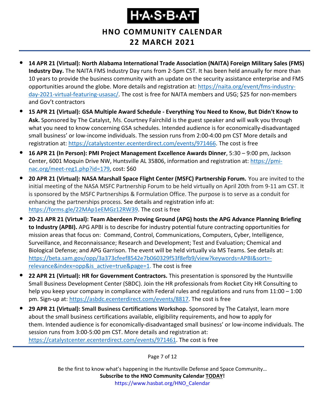**HNO COMMUNITY CALENDAR**

- **22 MARCH 2021**
- **14 APR 21 (Virtual): North Alabama International Trade Association (NAITA) Foreign Military Sales (FMS) Industry Day.** The NAITA FMS Industry Day runs from 2-5pm CST. It has been held annually for more than 10 years to provide the business community with an update on the security assistance enterprise and FMS opportunities around the globe. More details and registration at: [https://naita.org/event/fms-industry](https://naita.org/event/fms-industry-day-2021-virtual-featuring-usasac/)[day-2021-virtual-featuring-usasac/.](https://naita.org/event/fms-industry-day-2021-virtual-featuring-usasac/) The cost is free for NAITA members and USG; \$25 for non-members and Gov't contractors
- **15 APR 21 (Virtual): GSA Multiple Award Schedule - Everything You Need to Know, But Didn't Know to Ask.** Sponsored by The Catalyst, Ms. Courtney Fairchild is the guest speaker and will walk you through what you need to know concerning GSA schedules. Intended audience is for economically-disadvantaged small business' or low-income individuals. The session runs from 2:00-4:00 pm CST More details and registration at: [https://catalystcenter.ecenterdirect.com/events/971466.](https://catalystcenter.ecenterdirect.com/events/971466) The cost is free
- **16 APR 21 (In Person): PMI Project Management Excellence Awards Dinner**, 5:30 9:00 pm, Jackson Center, 6001 Moquin Drive NW, Huntsville AL 35806, information and registration at: [https://pmi](https://pmi-nac.org/meet-reg1.php?id=179)[nac.org/meet-reg1.php?id=179,](https://pmi-nac.org/meet-reg1.php?id=179) cost: \$60
- **20 APR 21 (Virtual): NASA Marshall Space Flight Center (MSFC) Partnership Forum.** You are invited to the initial meeting of the NASA MSFC Partnership Forum to be held virtually on April 20th from 9-11 am CST. It is sponsored by the MSFC Partnerships & Formulation Office. The purpose is to serve as a conduit for enhancing the partnerships process. See details and registration info at: [https://forms.gle/22MAp1eEMGz12RW39.](https://forms.gle/22MAp1eEMGz12RW39) The cost is free
- **20-21 APR 21 (Virtual): Team Aberdeen Proving Ground (APG) hosts the APG Advance Planning Briefing to Industry (APBI).** APG APBI is to describe for industry potential future contracting opportunities for mission areas that focus on: Command, Control, Communications, Computers, Cyber, Intelligence, Surveillance, and Reconnaissance; Research and Development; Test and Evaluation; Chemical and Biological Defense; and APG Garrison. The event will be held virtually via MS Teams. See details at: [https://beta.sam.gov/opp/3a373cfeef8542e7b060329f53f8efb9/view?keywords=APBI&sort=](https://beta.sam.gov/opp/3a373cfeef8542e7b060329f53f8efb9/view?keywords=APBI&sort=-relevance&index=opp&is_active=true&page=1) [relevance&index=opp&is\\_active=true&page=1.](https://beta.sam.gov/opp/3a373cfeef8542e7b060329f53f8efb9/view?keywords=APBI&sort=-relevance&index=opp&is_active=true&page=1) The cost is free
- **22 APR 21 (Virtual): HR for Government Contractors.** This presentation is sponsored by the Huntsville Small Business Development Center (SBDC). Join the HR professionals from Rocket City HR Consulting to help you keep your company in compliance with Federal rules and regulations and runs from 11:00 – 1:00 pm. Sign-up at: [https://asbdc.ecenterdirect.com/events/8817.](https://asbdc.ecenterdirect.com/events/8817) The cost is free
- **29 APR 21 (Virtual): Small Business Certifications Workshop.** Sponsored by The Catalyst, learn more about the small business certifications available, eligibility requirements, and how to apply for them. Intended audience is for economically-disadvantaged small business' or low-income individuals. The session runs from 3:00-5:00 pm CST. More details and registration at: [https://catalystcenter.ecenterdirect.com/events/971461.](https://catalystcenter.ecenterdirect.com/events/971461) The cost is free

Page 7 of 12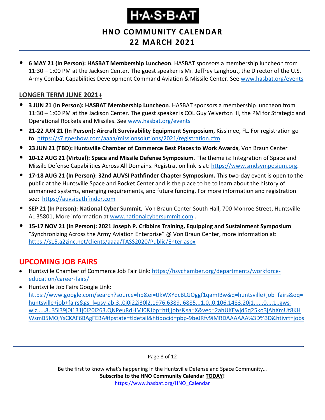# Ҥ҂ѦӠ҂Ѳ҂Ѧӵ

**HNO COMMUNITY CALENDAR**

### **22 MARCH 2021**

• **6 MAY 21 (In Person): HASBAT Membership Luncheon**. HASBAT sponsors a membership luncheon from 11:30 – 1:00 PM at the Jackson Center. The guest speaker is Mr. Jeffrey Langhout, the Director of the U.S. Army Combat Capabilities Development Command Aviation & Missile Center. See [www.hasbat.org/events](http://www.hasbat.org/events)

#### **LONGER TERM JUNE 2021+**

- **3 JUN 21 (In Person): HASBAT Membership Luncheon**. HASBAT sponsors a membership luncheon from 11:30 – 1:00 PM at the Jackson Center. The guest speaker is COL Guy Yelverton III, the PM for Strategic and Operational Rockets and Missiles. See [www.hasbat.org/events](http://www.hasbat.org/events)
- **21-22 JUN 21 (In Person): Aircraft Survivability Equipment Symposium**, Kissimee, FL. For registration go to:<https://s7.goeshow.com/aaaa/missionsolutions/2021/registration.cfm>
- **23 JUN 21 (TBD): Huntsville Chamber of Commerce Best Places to Work Awards**, Von Braun Center
- **10-12 AUG 21 (Virtual): Space and Missile Defense Symposium**. The theme is: Integration of Space and Missile Defense Capabilities Across All Domains. Registration link is at: [https://www.smdsymposium.org.](https://www.smdsymposium.org/)
- **17-18 AUG 21 (In Person): 32nd AUVSI Pathfinder Chapter Symposium.** This two-day event is open to the public at the Huntsville Space and Rocket Center and is the place to be to learn about the history of unmanned systems, emerging requirements, and future funding. For more information and registration see: [https://auvsipathfinder.com](https://auvsipathfinder.com/)
- **SEP 21 (In Person): National Cyber Summit**, Von Braun Center South Hall, 700 Monroe Street, Huntsville AL 35801, More information at [www.nationalcybersummit.com](http://www.nationalcybersummit.com/) .
- **15-17 NOV 21 (In Person): 2021 Joseph P. Cribbins Training, Equipping and Sustainment Symposium** "Synchronizing Across the Army Aviation Enterprise" @ Von Braun Center, more information at: <https://s15.a2zinc.net/clients/aaaa/TASS2020/Public/Enter.aspx>

### <span id="page-7-0"></span>**UPCOMING JOB FAIRS**

- Huntsville Chamber of Commerce Job Fair Link: [https://hsvchamber.org/departments/workforce](https://hsvchamber.org/departments/workforce-education/career-fairs/)[education/career-fairs/](https://hsvchamber.org/departments/workforce-education/career-fairs/)
- Huntsville Job Fairs Google Link: [https://www.google.com/search?source=hp&ei=tIkWXYqcBLGOggf1qamIBw&q=huntsville+job+fairs&oq=](https://www.google.com/search?source=hp&ei=tIkWXYqcBLGOggf1qamIBw&q=huntsville+job+fairs&oq=huntsville+job+fairs&gs_l=psy-ab.3..0j0i22i30l2.1976.6389..6885...1.0..0.106.1483.20j1......0....1..gws-wiz.....8..35i39j0i131j0i20i263.QNPeuRdHMI0&ibp=htl;jobs&sa=X&ved=2ahUKEwjd5q25ko3jAhXmUt8KHWsmB5MQiYsCKAF6BAgFEBA#fpstate=tldetail&htidocid=pbp-9beJRfv9iMRDAAAAAA%3D%3D&htivrt=jobs) [huntsville+job+fairs&gs\\_l=psy-ab.3..0j0i22i30l2.1976.6389..6885...1.0..0.106.1483.20j1......0....1..gws](https://www.google.com/search?source=hp&ei=tIkWXYqcBLGOggf1qamIBw&q=huntsville+job+fairs&oq=huntsville+job+fairs&gs_l=psy-ab.3..0j0i22i30l2.1976.6389..6885...1.0..0.106.1483.20j1......0....1..gws-wiz.....8..35i39j0i131j0i20i263.QNPeuRdHMI0&ibp=htl;jobs&sa=X&ved=2ahUKEwjd5q25ko3jAhXmUt8KHWsmB5MQiYsCKAF6BAgFEBA#fpstate=tldetail&htidocid=pbp-9beJRfv9iMRDAAAAAA%3D%3D&htivrt=jobs)[wiz.....8..35i39j0i131j0i20i263.QNPeuRdHMI0&ibp=htl;jobs&sa=X&ved=2ahUKEwjd5q25ko3jAhXmUt8KH](https://www.google.com/search?source=hp&ei=tIkWXYqcBLGOggf1qamIBw&q=huntsville+job+fairs&oq=huntsville+job+fairs&gs_l=psy-ab.3..0j0i22i30l2.1976.6389..6885...1.0..0.106.1483.20j1......0....1..gws-wiz.....8..35i39j0i131j0i20i263.QNPeuRdHMI0&ibp=htl;jobs&sa=X&ved=2ahUKEwjd5q25ko3jAhXmUt8KHWsmB5MQiYsCKAF6BAgFEBA#fpstate=tldetail&htidocid=pbp-9beJRfv9iMRDAAAAAA%3D%3D&htivrt=jobs) [WsmB5MQiYsCKAF6BAgFEBA#fpstate=tldetail&htidocid=pbp-9beJRfv9iMRDAAAAAA%3D%3D&htivrt=jobs](https://www.google.com/search?source=hp&ei=tIkWXYqcBLGOggf1qamIBw&q=huntsville+job+fairs&oq=huntsville+job+fairs&gs_l=psy-ab.3..0j0i22i30l2.1976.6389..6885...1.0..0.106.1483.20j1......0....1..gws-wiz.....8..35i39j0i131j0i20i263.QNPeuRdHMI0&ibp=htl;jobs&sa=X&ved=2ahUKEwjd5q25ko3jAhXmUt8KHWsmB5MQiYsCKAF6BAgFEBA#fpstate=tldetail&htidocid=pbp-9beJRfv9iMRDAAAAAA%3D%3D&htivrt=jobs)

Page 8 of 12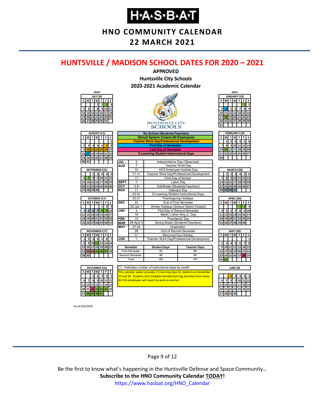**HNO COMMUNITY CALENDAR**

#### **22 MARCH 2021**

#### <span id="page-8-0"></span>**HUNTSVILLE / MADISON SCHOOL DATES FOR 2020 – 2021**



As of 6/4/2020

#### Page 9 of 12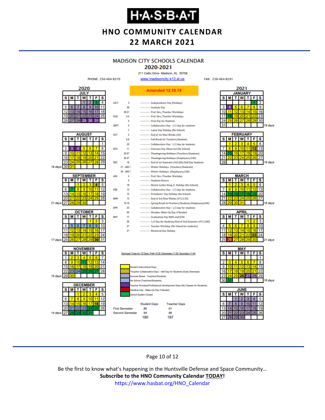**HNO COMMUNITY CALENDAR 22 MARCH 2021**

### **MADISON CITY SCHOOLS CALENDAR**

PHONE: 256-464-8370

2020

**JULY** 

 $\overline{\mathbf{s}}$ M

 $10$ 

s M

9

 $16$ 

23

s

 $\overline{6}$ 

13

20

 $27$ 

4

11

 $18$ 

25

s

R

15

22

s

6

13

2ľ 21 22  $23$ 

15

19 days 30

21 days

17 days

15 days 29

14 days

6  $12$ 

#### 2020-2021

211 Celtic Drive Madison, AL 35758 www.madisoncity.k12.al.us FAX: 256-464-8291 **Amended 12.10.19**  $\overline{\mathbf{s}}$ Independence Day (Holiday) .... Institute Dav 3 ----------- Prof. Dev./Teacher Workdays  $10$ 



**Student Days Teacher Days** 26 **First Semester** 86 91 96 **Second Semester** 94 180 187

s  $\overline{\mathbf{1}}$ 8 15  $22$ 

2021

**JANUARY** 

18 days

19 days

18 days

21 days

18 days



#### Page 10 of 12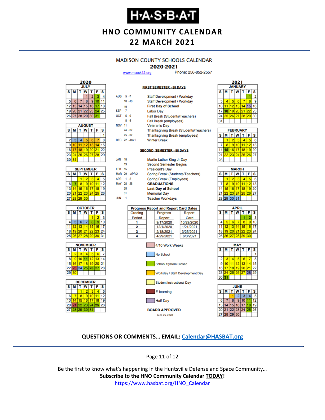### **Н-А-S-В-А-Т**

**HNO COMMUNITY CALENDAR 22 MARCH 2021**

#### **MADISON COUNTY SCHOOLS CALENDAR**

#### 2020-2021

**FIRST SEMESTER - 88 DAYS** 

www.mcssk12.org

Phone: 256-852-2557



| <b>AUGUST</b><br>$\vec{T}$ |    |    |             |       |    |    |  |
|----------------------------|----|----|-------------|-------|----|----|--|
| s                          | м  | S  |             |       |    |    |  |
|                            |    |    |             |       |    |    |  |
| 2                          | 3  | 4  | 5           | 6     |    | 8  |  |
| 9                          | 10 | 11 | 12          | 13    |    | 15 |  |
| 16                         | 17 | 18 |             | 19 20 | 21 | 22 |  |
| 23                         |    |    | 24 25 26 27 |       | 28 | 29 |  |
| 30                         | 31 |    |             |       |    |    |  |

|    | <b>SEPTEMBER</b>        |    |          |    |    |    |  |  |
|----|-------------------------|----|----------|----|----|----|--|--|
| s  | т<br>T W<br>F<br>s<br>М |    |          |    |    |    |  |  |
|    |                         |    | 2        | ٩  |    |    |  |  |
| 6  |                         | \$ | 9        | 10 |    | 12 |  |  |
| 13 | 4                       |    | 15 16    | 17 | 18 |    |  |  |
| 20 | 211                     |    | 22 23 24 |    | 25 | 26 |  |  |
| 27 | 28                      | 29 | 30       |    |    |    |  |  |







| AUG 5-7       |    |                | Staff Development / Workday      |                                              |  |                                        |  |  |  |
|---------------|----|----------------|----------------------------------|----------------------------------------------|--|----------------------------------------|--|--|--|
|               |    | $10 - 18$      | Staff Development / Workday      |                                              |  |                                        |  |  |  |
|               | 19 |                | <b>First Day of School</b>       |                                              |  |                                        |  |  |  |
| <b>SEP</b>    | -7 |                | <b>Labor Day</b>                 |                                              |  |                                        |  |  |  |
| OCT 5-9       |    |                |                                  | Fall Break (Students/Teachers)               |  |                                        |  |  |  |
|               |    | $8 - 9$        | <b>Fall Break (employees)</b>    |                                              |  |                                        |  |  |  |
| <b>NOV 11</b> |    |                |                                  | <b>Veteran's Day</b>                         |  |                                        |  |  |  |
|               |    | 24 - 27        |                                  |                                              |  | Thanksgiving Break (Students/Teachers) |  |  |  |
|               |    | $25 - 27$      |                                  | <b>Thanksgiving Break (employees)</b>        |  |                                        |  |  |  |
|               |    | DEC 22 - Jan 1 |                                  | <b>Winter Break</b>                          |  |                                        |  |  |  |
|               |    |                |                                  |                                              |  |                                        |  |  |  |
|               |    |                |                                  | <b>SECOND SEMESTER - 88 DAYS</b>             |  |                                        |  |  |  |
| <b>JAN</b>    | 18 |                |                                  | Martin Luther King Jr Day                    |  |                                        |  |  |  |
|               | 19 |                |                                  | <b>Second Semester Begins</b>                |  |                                        |  |  |  |
| <b>FEB</b> 15 |    |                | <b>President's Day</b>           |                                              |  |                                        |  |  |  |
|               |    | MAR 29 - APR 2 | Spring Break (Students/Teachers) |                                              |  |                                        |  |  |  |
| APR 1 -2      |    |                | Spring Break (Employees)         |                                              |  |                                        |  |  |  |
|               |    | MAY 25 -26     | <b>GRADUATIONS</b>               |                                              |  |                                        |  |  |  |
|               | 28 |                | <b>Last Day of School</b>        |                                              |  |                                        |  |  |  |
|               | 31 |                | <b>Memorial Day</b>              |                                              |  |                                        |  |  |  |
| <b>JUN</b>    | 1  |                | <b>Teacher Workdays</b>          |                                              |  |                                        |  |  |  |
|               |    |                |                                  |                                              |  |                                        |  |  |  |
|               |    |                |                                  | <b>Progress Report and Report Card Dates</b> |  |                                        |  |  |  |
|               |    | Grading        | Progress<br>Report               |                                              |  |                                        |  |  |  |
|               |    | Period         |                                  | Report                                       |  | Card                                   |  |  |  |
|               |    | 1              |                                  | 9/17/2020                                    |  | 10/29/2020                             |  |  |  |
|               |    | 2              |                                  | 12/1/2020                                    |  | 1/21/2021                              |  |  |  |
|               |    | 3              | 2/18/2021<br>3/25/2021           |                                              |  |                                        |  |  |  |
|               |    | 4              | 4/29/2021<br>6/3/2021            |                                              |  |                                        |  |  |  |





| <b>FEBRUARY</b> |   |    |                |    |    |    |  |  |
|-----------------|---|----|----------------|----|----|----|--|--|
| s               | м |    | w              | т  | F  | s  |  |  |
|                 |   | 2  | з              |    |    | 6  |  |  |
|                 |   | ۰  | 10             |    | 12 | 13 |  |  |
|                 |   | 16 | 17             | 18 | 19 | 20 |  |  |
|                 |   |    | 23 24 25 26 27 |    |    |    |  |  |
|                 |   |    |                |    |    |    |  |  |

| <b>MARCH</b>       |                 |    |    |    |    |    |  |  |
|--------------------|-----------------|----|----|----|----|----|--|--|
| $\bar{\mathbf{s}}$ | м               | Ŧ. | W  | т  | F  | S  |  |  |
|                    |                 | 2  |    |    |    | 6  |  |  |
|                    | ٥               | 9  | 10 |    | 12 | 13 |  |  |
| 14                 | 15 <sub>1</sub> | 16 | 17 | 18 |    | 20 |  |  |
| 21                 | 22 <sub>1</sub> | 23 | 24 | 25 | 26 | 27 |  |  |
|                    | 28 29 30 31     |    |    |    |    |    |  |  |
|                    |                 |    |    |    |    |    |  |  |

| APRIL |          |          |                |    |    |    |  |  |
|-------|----------|----------|----------------|----|----|----|--|--|
| s     | м        |          | W              | т  | F  | S  |  |  |
|       |          |          |                |    |    |    |  |  |
|       | 5        |          |                | 8  | 9  | 10 |  |  |
| 11    |          | 12 13 14 |                | 15 | 16 | 17 |  |  |
| 18    |          |          | 19 20 21 22 23 |    |    | 24 |  |  |
| 25    | 26 27 28 |          |                | 29 | 30 |    |  |  |
|       |          |          |                |    |    |    |  |  |





#### **QUESTIONS OR COMMENTS… EMAIL: [Calendar@HASBAT.org](mailto:calendar@hasbat.org)**

Page 11 of 12